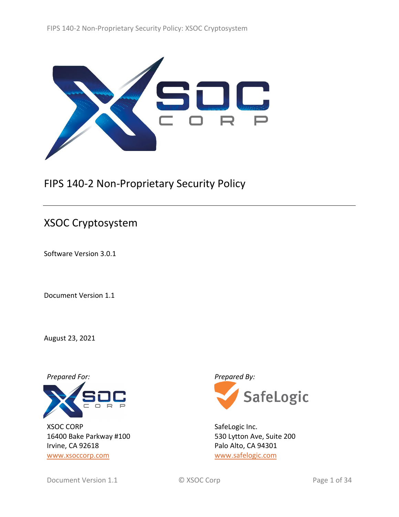

# FIPS 140-2 Non-Proprietary Security Policy

# XSOC Cryptosystem

Software Version 3.0.1

Document Version 1.1

August 23, 2021



XSOC CORP 16400 Bake Parkway #100 Irvine, CA 92618 [www.xsoccorp.com](http://www.xsoccorp.com/)



SafeLogic Inc. 530 Lytton Ave, Suite 200 Palo Alto, CA 94301 [www.safelogic.com](https://www.safelogic.com/)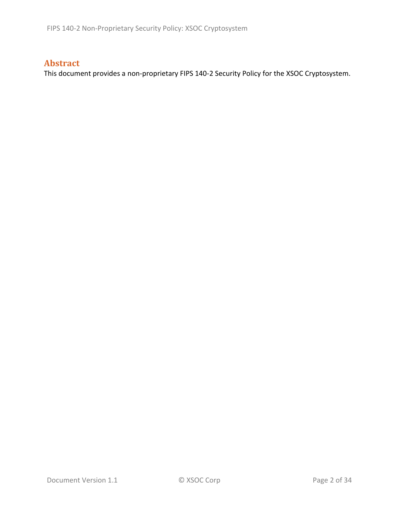## **Abstract**

This document provides a non-proprietary FIPS 140-2 Security Policy for the XSOC Cryptosystem.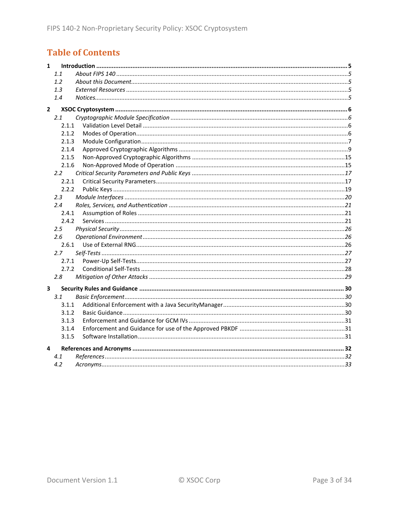# **Table of Contents**

| $\mathbf{1}$            |               |  |
|-------------------------|---------------|--|
|                         | 1.1           |  |
|                         | 1.2           |  |
|                         | 1.3           |  |
|                         | 1.4           |  |
| $\overline{2}$          |               |  |
|                         | 2.1           |  |
|                         | 2.1.1         |  |
|                         | 2.1.2         |  |
|                         | 2.1.3         |  |
|                         | 2.1.4         |  |
|                         | 2.1.5         |  |
|                         | 2.1.6         |  |
|                         | $2.2^{\circ}$ |  |
|                         | 2.2.1         |  |
|                         | 2.2.2         |  |
|                         | 2.3           |  |
|                         | 2.4           |  |
|                         | 2.4.1         |  |
|                         | 2.4.2         |  |
|                         | 2.5           |  |
|                         | 2.6           |  |
|                         | 2.6.1         |  |
|                         | 2.7           |  |
|                         | 2.7.1         |  |
|                         | 2.7.2         |  |
|                         | 2.8           |  |
| $\overline{\mathbf{3}}$ |               |  |
|                         | 3.1           |  |
|                         | 3.1.1         |  |
|                         | 3.1.2         |  |
|                         | 3.1.3         |  |
|                         | 3.1.4         |  |
|                         | 3.1.5         |  |
| 4                       |               |  |
|                         | 4.1           |  |
|                         | 4.2           |  |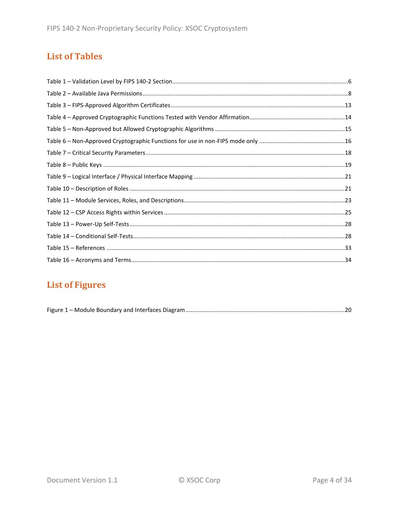## **List of Tables**

# **List of Figures**

|--|--|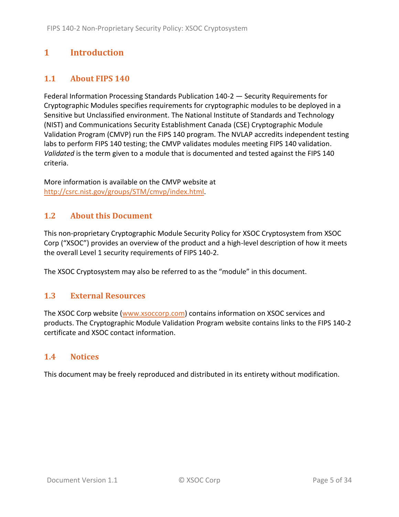## <span id="page-4-0"></span>**1 Introduction**

## <span id="page-4-1"></span>**1.1 About FIPS 140**

Federal Information Processing Standards Publication 140-2 — Security Requirements for Cryptographic Modules specifies requirements for cryptographic modules to be deployed in a Sensitive but Unclassified environment. The National Institute of Standards and Technology (NIST) and Communications Security Establishment Canada (CSE) Cryptographic Module Validation Program (CMVP) run the FIPS 140 program. The NVLAP accredits independent testing labs to perform FIPS 140 testing; the CMVP validates modules meeting FIPS 140 validation. *Validated* is the term given to a module that is documented and tested against the FIPS 140 criteria.

More information is available on the CMVP website at [http://csrc.nist.gov/groups/STM/cmvp/index.html.](http://csrc.nist.gov/groups/STM/cmvp/index.html)

#### <span id="page-4-2"></span>**1.2 About this Document**

This non-proprietary Cryptographic Module Security Policy for XSOC Cryptosystem from XSOC Corp ("XSOC") provides an overview of the product and a high-level description of how it meets the overall Level 1 security requirements of FIPS 140-2.

<span id="page-4-3"></span>The XSOC Cryptosystem may also be referred to as the "module" in this document.

#### **1.3 External Resources**

The XSOC Corp website [\(www.xsoccorp.com\)](http://www.xsoccorp.com/) contains information on XSOC services and products. The Cryptographic Module Validation Program website contains links to the FIPS 140-2 certificate and XSOC contact information.

#### <span id="page-4-4"></span>**1.4 Notices**

This document may be freely reproduced and distributed in its entirety without modification.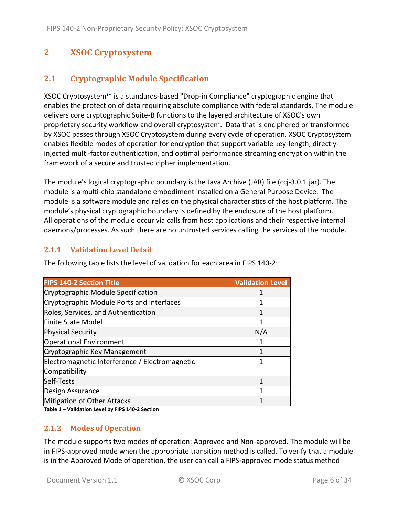## <span id="page-5-0"></span>**2 XSOC Cryptosystem**

## <span id="page-5-1"></span>**2.1 Cryptographic Module Specification**

XSOC Cryptosystem™ is a standards-based "Drop-in Compliance" cryptographic engine that enables the protection of data requiring absolute compliance with federal standards. The module delivers core cryptographic Suite-B functions to the layered architecture of XSOC's own proprietary security workflow and overall cryptosystem. Data that is enciphered or transformed by XSOC passes through XSOC Cryptosystem during every cycle of operation. XSOC Cryptosystem enables flexible modes of operation for encryption that support variable key-length, directlyinjected multi-factor authentication, and optimal performance streaming encryption within the framework of a secure and trusted cipher implementation.

The module's logical cryptographic boundary is the Java Archive (JAR) file (ccj-3.0.1.jar). The module is a multi-chip standalone embodiment installed on a General Purpose Device. The module is a software module and relies on the physical characteristics of the host platform. The module's physical cryptographic boundary is defined by the enclosure of the host platform. All operations of the module occur via calls from host applications and their respective internal daemons/processes. As such there are no untrusted services calling the services of the module.

#### <span id="page-5-2"></span>**2.1.1 Validation Level Detail**

The following table lists the level of validation for each area in FIPS 140-2:

| <b>FIPS 140-2 Section Title</b>                | <b>Validation Level</b> |
|------------------------------------------------|-------------------------|
| Cryptographic Module Specification             |                         |
| Cryptographic Module Ports and Interfaces      |                         |
| Roles, Services, and Authentication            |                         |
| Finite State Model                             |                         |
| <b>Physical Security</b>                       | N/A                     |
| <b>Operational Environment</b>                 |                         |
| Cryptographic Key Management                   |                         |
| Electromagnetic Interference / Electromagnetic | 1                       |
| Compatibility                                  |                         |
| Self-Tests                                     | 1                       |
| Design Assurance                               | 1                       |
| Mitigation of Other Attacks                    |                         |

<span id="page-5-3"></span>**Table 1 – Validation Level by FIPS 140-2 Section**

#### **2.1.2 Modes of Operation**

The module supports two modes of operation: Approved and Non-approved. The module will be in FIPS-approved mode when the appropriate transition method is called. To verify that a module is in the Approved Mode of operation, the user can call a FIPS-approved mode status method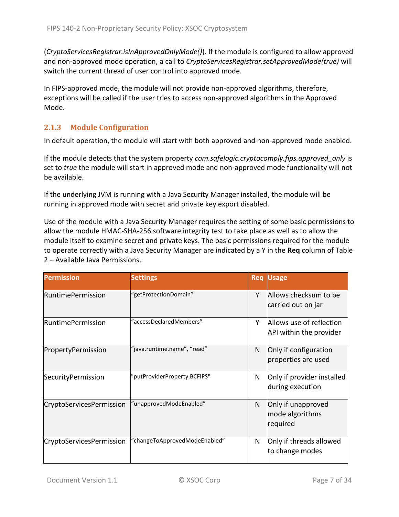(*CryptoServicesRegistrar.isInApprovedOnlyMode()*). If the module is configured to allow approved and non-approved mode operation, a call to *CryptoServicesRegistrar.setApprovedMode(true)* will switch the current thread of user control into approved mode.

In FIPS-approved mode, the module will not provide non-approved algorithms, therefore, exceptions will be called if the user tries to access non-approved algorithms in the Approved Mode.

#### <span id="page-6-0"></span>**2.1.3 Module Configuration**

In default operation, the module will start with both approved and non-approved mode enabled.

If the module detects that the system property *com.safelogic.cryptocomply.fips.approved\_only* is set to *true* the module will start in approved mode and non-approved mode functionality will not be available.

If the underlying JVM is running with a Java Security Manager installed, the module will be running in approved mode with secret and private key export disabled.

Use of the module with a Java Security Manager requires the setting of some basic permissions to allow the module HMAC-SHA-256 software integrity test to take place as well as to allow the module itself to examine secret and private keys. The basic permissions required for the module to operate correctly with a Java Security Manager are indicated by a Y in the **Req** column of [Table](#page-7-0)  2 – [Available Java Permissions.](#page-7-0)

| <b>Permission</b>        | <b>Settings</b>               |   | <b>Req Usage</b>                                    |
|--------------------------|-------------------------------|---|-----------------------------------------------------|
| <b>RuntimePermission</b> | "getProtectionDomain"         | Y | Allows checksum to be<br>carried out on jar         |
| l Runtime Permission     | "accessDeclaredMembers"       | Υ | Allows use of reflection<br>API within the provider |
| PropertyPermission       | "java.runtime.name", "read"   | N | Only if configuration<br>properties are used        |
| SecurityPermission       | "putProviderProperty.BCFIPS"  | N | Only if provider installed<br>during execution      |
| CryptoServicesPermission | "unapprovedModeEnabled"       | N | Only if unapproved<br>mode algorithms<br>required   |
| CryptoServicesPermission | "changeToApprovedModeEnabled" | N | Only if threads allowed<br>to change modes          |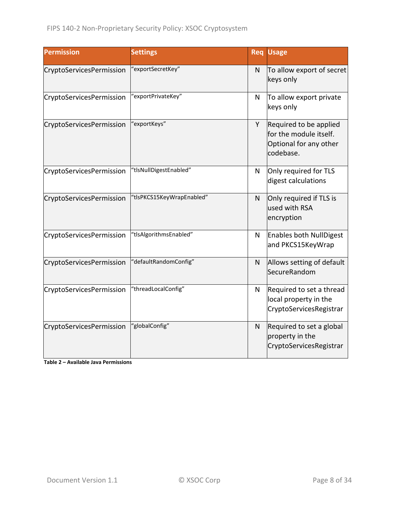| <b>Permission</b>        | <b>Settings</b>           |              | <b>Req Usage</b>                                                                        |
|--------------------------|---------------------------|--------------|-----------------------------------------------------------------------------------------|
| CryptoServicesPermission | 'exportSecretKey"         | N            | To allow export of secret<br>keys only                                                  |
| CryptoServicesPermission | "exportPrivateKey"        | N            | To allow export private<br>keys only                                                    |
| CryptoServicesPermission | 'exportKeys"              | Y            | Required to be applied<br>for the module itself.<br>Optional for any other<br>codebase. |
| CryptoServicesPermission | "tlsNullDigestEnabled"    | N            | Only required for TLS<br>digest calculations                                            |
| CryptoServicesPermission | "tlsPKCS15KeyWrapEnabled" | N            | Only required if TLS is<br>used with RSA<br>encryption                                  |
| CryptoServicesPermission | "tlsAlgorithmsEnabled"    | N            | <b>Enables both NullDigest</b><br>and PKCS15KeyWrap                                     |
| CryptoServicesPermission | "defaultRandomConfig"     | $\mathsf{N}$ | Allows setting of default<br><b>SecureRandom</b>                                        |
| CryptoServicesPermission | "threadLocalConfig"       | N            | Required to set a thread<br>local property in the<br>CryptoServicesRegistrar            |
| CryptoServicesPermission | "globalConfig"            | $\mathsf{N}$ | Required to set a global<br>property in the<br>CryptoServicesRegistrar                  |

<span id="page-7-0"></span>**Table 2 – Available Java Permissions**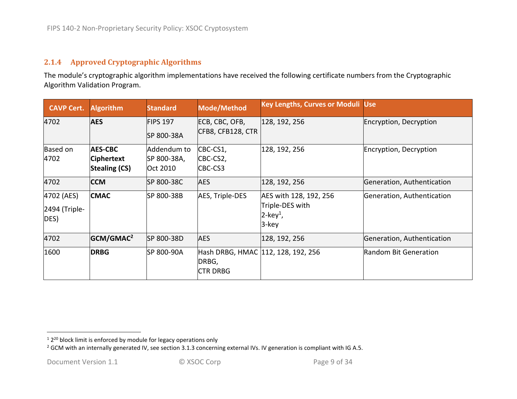#### **2.1.4 Approved Cryptographic Algorithms**

The module's cryptographic algorithm implementations have received the following certificate numbers from the Cryptographic Algorithm Validation Program.

<span id="page-8-0"></span>

| <b>CAVP Cert.</b>                   | <b>Algorithm</b>                                     | <b>Standard</b>                        | Mode/Method                         | <b>Key Lengths, Curves or Moduli Use</b>                                      |                            |
|-------------------------------------|------------------------------------------------------|----------------------------------------|-------------------------------------|-------------------------------------------------------------------------------|----------------------------|
| 4702                                | <b>AES</b>                                           | <b>FIPS 197</b><br>SP 800-38A          | ECB, CBC, OFB,<br>CFB8, CFB128, CTR | 128, 192, 256                                                                 | Encryption, Decryption     |
| Based on<br>4702                    | <b>AES-CBC</b><br>Ciphertext<br><b>Stealing (CS)</b> | Addendum to<br>SP 800-38A,<br>Oct 2010 | CBC-CS1,<br>CBC-CS2,<br>CBC-CS3     | 128, 192, 256                                                                 | Encryption, Decryption     |
| 4702                                | <b>CCM</b>                                           | SP 800-38C                             | <b>AES</b>                          | 128, 192, 256                                                                 | Generation, Authentication |
| 4702 (AES)<br>2494 (Triple-<br>DES) | <b>CMAC</b>                                          | SP 800-38B                             | AES, Triple-DES                     | AES with 128, 192, 256<br>Triple-DES with<br>$2$ -key <sup>1</sup> ,<br>3-key | Generation, Authentication |
| 4702                                | GCM/GMAC <sup>2</sup>                                | SP 800-38D                             | <b>AES</b>                          | 128, 192, 256                                                                 | Generation, Authentication |
| 1600                                | <b>DRBG</b>                                          | SP 800-90A                             | DRBG,<br><b>CTR DRBG</b>            | Hash DRBG, HMAC 112, 128, 192, 256                                            | Random Bit Generation      |

 $12^{20}$  block limit is enforced by module for legacy operations only

<sup>&</sup>lt;sup>2</sup> GCM with an internally generated IV, see section 3.1.3 concerning external IVs. IV generation is compliant with IG A.5.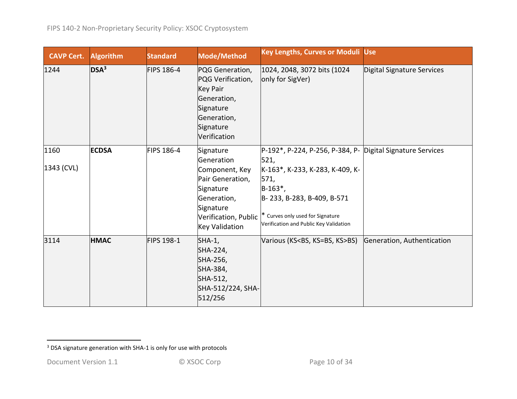| <b>CAVP Cert.</b>  | <b>Algorithm</b> | <b>Standard</b>   | Mode/Method                                                                                                                                      | <b>Key Lengths, Curves or Moduli Use</b>                                                                                                                                                                                                 |                            |
|--------------------|------------------|-------------------|--------------------------------------------------------------------------------------------------------------------------------------------------|------------------------------------------------------------------------------------------------------------------------------------------------------------------------------------------------------------------------------------------|----------------------------|
| 1244               | DSA <sup>3</sup> | <b>FIPS 186-4</b> | PQG Generation,<br>PQG Verification,<br><b>Key Pair</b><br>Generation,<br>Signature<br>Generation,<br>Signature<br>Verification                  | 1024, 2048, 3072 bits (1024)<br>only for SigVer)                                                                                                                                                                                         | Digital Signature Services |
| 1160<br>1343 (CVL) | <b>ECDSA</b>     | <b>FIPS 186-4</b> | Signature<br>Generation<br>Component, Key<br>Pair Generation,<br>Signature<br>Generation,<br>Signature<br>Verification, Public<br>Key Validation | P-192*, P-224, P-256, P-384, P- Digital Signature Services<br>521,<br>K-163*, K-233, K-283, K-409, K-<br>571,<br>$B-163^*$ ,<br>B-233, B-283, B-409, B-571<br>* Curves only used for Signature<br>Verification and Public Key Validation |                            |
| 3114               | <b>HMAC</b>      | FIPS 198-1        | $SHA-1$ ,<br>SHA-224,<br>SHA-256,<br>SHA-384,<br>SHA-512,<br>SHA-512/224, SHA-<br>512/256                                                        | Various (KS <bs, ks="">BS)</bs,>                                                                                                                                                                                                         | Generation, Authentication |

<sup>&</sup>lt;sup>3</sup> DSA signature generation with SHA-1 is only for use with protocols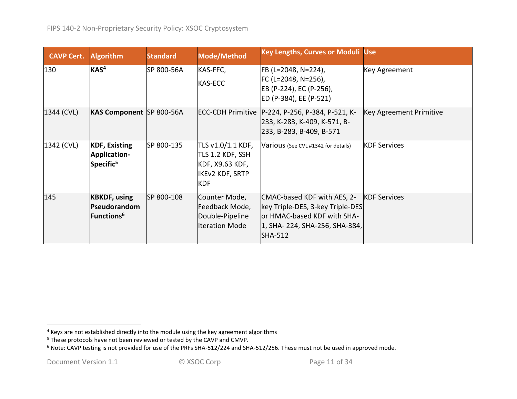| <b>CAVP Cert.</b> | <b>Algorithm</b>                                                     | <b>Standard</b> | <b>Mode/Method</b>                                                                               | <b>Key Lengths, Curves or Moduli Use</b>                                                                                                           |                         |
|-------------------|----------------------------------------------------------------------|-----------------|--------------------------------------------------------------------------------------------------|----------------------------------------------------------------------------------------------------------------------------------------------------|-------------------------|
| 130               | KAS <sup>4</sup>                                                     | SP 800-56A      | KAS-FFC,<br><b>KAS-ECC</b>                                                                       | FB (L=2048, N=224),<br>$FC (L=2048, N=256)$ ,<br>EB (P-224), EC (P-256),<br>ED (P-384), EE (P-521)                                                 | Key Agreement           |
| 1344 (CVL)        | KAS Component SP 800-56A                                             |                 |                                                                                                  | ECC-CDH Primitive   P-224, P-256, P-384, P-521, K-<br>233, K-283, K-409, K-571, B-<br>233, B-283, B-409, B-571                                     | Key Agreement Primitive |
| 1342 (CVL)        | <b>KDF, Existing</b><br>Application-<br>Specific <sup>5</sup>        | SP 800-135      | TLS v1.0/1.1 KDF,<br>TLS 1.2 KDF, SSH<br>KDF, X9.63 KDF,<br><b>IKEv2 KDF, SRTP</b><br><b>KDF</b> | Various (See CVL #1342 for details)                                                                                                                | <b>KDF Services</b>     |
| 145               | <b>KBKDF, using</b><br>Pseudorandom<br><b>Functions</b> <sup>6</sup> | SP 800-108      | Counter Mode,<br>Feedback Mode,<br>Double-Pipeline<br><b>Iteration Mode</b>                      | CMAC-based KDF with AES, 2-<br>key Triple-DES, 3-key Triple-DES<br>or HMAC-based KDF with SHA-<br>1, SHA- 224, SHA-256, SHA-384,<br><b>SHA-512</b> | <b>KDF Services</b>     |

 $<sup>4</sup>$  Keys are not established directly into the module using the key agreement algorithms</sup>

<sup>&</sup>lt;sup>5</sup> These protocols have not been reviewed or tested by the CAVP and CMVP.

<sup>6</sup> Note: CAVP testing is not provided for use of the PRFs SHA-512/224 and SHA-512/256. These must not be used in approved mode.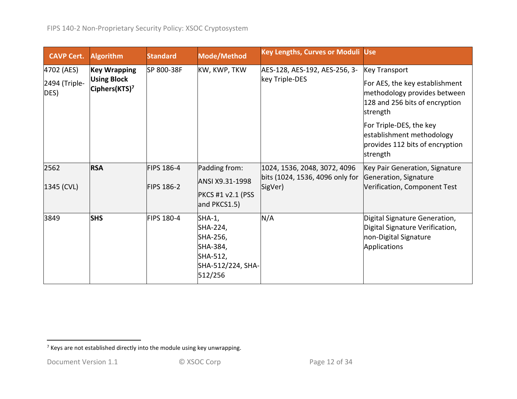| <b>CAVP Cert.</b>                   | <b>Algorithm</b>                                                       | <b>Standard</b>                        | Mode/Method                                                                               | Key Lengths, Curves or Moduli Use                                          |                                                                                                                                                                                                                                             |
|-------------------------------------|------------------------------------------------------------------------|----------------------------------------|-------------------------------------------------------------------------------------------|----------------------------------------------------------------------------|---------------------------------------------------------------------------------------------------------------------------------------------------------------------------------------------------------------------------------------------|
| 4702 (AES)<br>2494 (Triple-<br>DES) | <b>Key Wrapping</b><br><b>Using Block</b><br>Ciphers(KTS) <sup>7</sup> | SP 800-38F                             | KW, KWP, TKW                                                                              | AES-128, AES-192, AES-256, 3-<br>key Triple-DES                            | <b>Key Transport</b><br>For AES, the key establishment<br>methodology provides between<br>128 and 256 bits of encryption<br>strength<br>For Triple-DES, the key<br>establishment methodology<br>provides 112 bits of encryption<br>strength |
| 2562<br>1345 (CVL)                  | <b>RSA</b>                                                             | <b>FIPS 186-4</b><br><b>FIPS 186-2</b> | Padding from:<br>ANSI X9.31-1998<br><b>PKCS #1 v2.1 (PSS</b><br>and PKCS1.5)              | 1024, 1536, 2048, 3072, 4096<br>bits (1024, 1536, 4096 only for<br>SigVer) | Key Pair Generation, Signature<br>Generation, Signature<br>Verification, Component Test                                                                                                                                                     |
| 3849                                | <b>SHS</b>                                                             | <b>FIPS 180-4</b>                      | $SHA-1$ ,<br>SHA-224,<br>SHA-256,<br>SHA-384,<br>SHA-512,<br>SHA-512/224, SHA-<br>512/256 | N/A                                                                        | Digital Signature Generation,<br>Digital Signature Verification,<br>non-Digital Signature<br>Applications                                                                                                                                   |

 $7$  Keys are not established directly into the module using key unwrapping.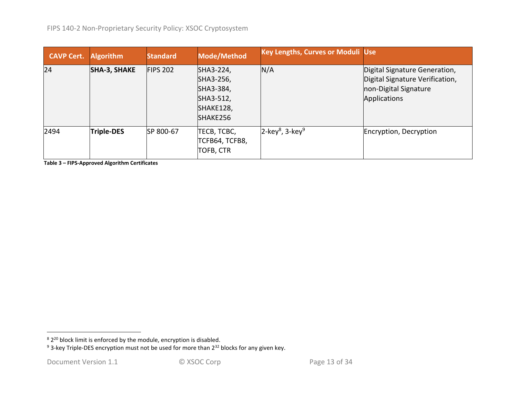| <b>CAVP Cert.</b> | <b>Algorithm</b>    | <b>Standard</b> | Mode/Method                                                               | <b>Key Lengths, Curves or Moduli Use</b>   |                                                                                                           |
|-------------------|---------------------|-----------------|---------------------------------------------------------------------------|--------------------------------------------|-----------------------------------------------------------------------------------------------------------|
| 24                | <b>SHA-3, SHAKE</b> | FIPS 202        | SHA3-224,<br>SHA3-256,<br>SHA3-384,<br>SHA3-512,<br>SHAKE128,<br>SHAKE256 | N/A                                        | Digital Signature Generation,<br>Digital Signature Verification,<br>non-Digital Signature<br>Applications |
| 2494              | <b>Triple-DES</b>   | SP 800-67       | TECB, TCBC,<br>TCFB64, TCFB8,<br><b>TOFB, CTR</b>                         | $2$ -key <sup>8</sup> , 3-key <sup>9</sup> | Encryption, Decryption                                                                                    |

**Table 3 – FIPS-Approved Algorithm Certificates**

 $8\,2^{20}$  block limit is enforced by the module, encryption is disabled.

<sup>&</sup>lt;sup>9</sup> 3-key Triple-DES encryption must not be used for more than 2<sup>32</sup> blocks for any given key.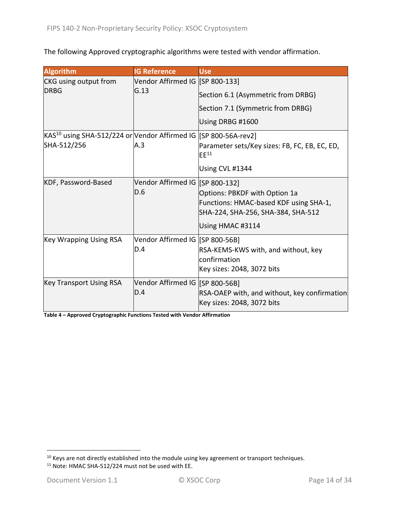The following Approved cryptographic algorithms were tested with vendor affirmation.

| <b>Algorithm</b>                                                            | <b>IG Reference</b>             | <b>Use</b>                                                                 |
|-----------------------------------------------------------------------------|---------------------------------|----------------------------------------------------------------------------|
| CKG using output from                                                       | Vendor Affirmed IG [SP 800-133] |                                                                            |
| <b>DRBG</b>                                                                 | G.13                            | Section 6.1 (Asymmetric from DRBG)                                         |
|                                                                             |                                 | Section 7.1 (Symmetric from DRBG)                                          |
|                                                                             |                                 | Using DRBG #1600                                                           |
| KAS <sup>10</sup> using SHA-512/224 or Vendor Affirmed IG [SP 800-56A-rev2] |                                 |                                                                            |
| SHA-512/256                                                                 | A.3                             | Parameter sets/Key sizes: FB, FC, EB, EC, ED,<br>$E E^{11}$                |
|                                                                             |                                 | Using CVL #1344                                                            |
| KDF, Password-Based                                                         | Vendor Affirmed IG [SP 800-132] |                                                                            |
|                                                                             | D.6                             | Options: PBKDF with Option 1a                                              |
|                                                                             |                                 | Functions: HMAC-based KDF using SHA-1,                                     |
|                                                                             |                                 | SHA-224, SHA-256, SHA-384, SHA-512                                         |
|                                                                             |                                 | Using HMAC #3114                                                           |
| <b>Key Wrapping Using RSA</b>                                               | Vendor Affirmed IG [SP 800-56B] |                                                                            |
|                                                                             | D.4                             | RSA-KEMS-KWS with, and without, key                                        |
|                                                                             |                                 | confirmation                                                               |
|                                                                             |                                 | Key sizes: 2048, 3072 bits                                                 |
| <b>Key Transport Using RSA</b>                                              | Vendor Affirmed IG [SP 800-56B] |                                                                            |
|                                                                             | D.4                             | RSA-OAEP with, and without, key confirmation<br>Key sizes: 2048, 3072 bits |

**Table 4 – Approved Cryptographic Functions Tested with Vendor Affirmation**

 $10$  Keys are not directly established into the module using key agreement or transport techniques.

<sup>11</sup> Note: HMAC SHA-512/224 must not be used with EE.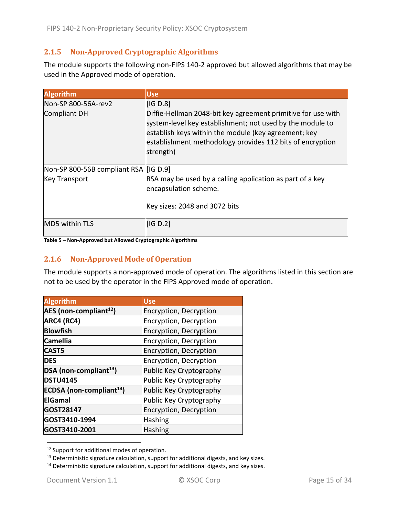### <span id="page-14-0"></span>**2.1.5 Non-Approved Cryptographic Algorithms**

The module supports the following non-FIPS 140-2 approved but allowed algorithms that may be used in the Approved mode of operation.

| <b>Algorithm</b>                        | <b>Use</b>                                                                                                                                                                                                                                                  |
|-----------------------------------------|-------------------------------------------------------------------------------------------------------------------------------------------------------------------------------------------------------------------------------------------------------------|
| Non-SP 800-56A-rev2                     | [IG D.8]                                                                                                                                                                                                                                                    |
| <b>Compliant DH</b>                     | Diffie-Hellman 2048-bit key agreement primitive for use with<br>system-level key establishment; not used by the module to<br>establish keys within the module (key agreement; key<br>establishment methodology provides 112 bits of encryption<br>strength) |
| Non-SP 800-56B compliant RSA   [IG D.9] |                                                                                                                                                                                                                                                             |
| <b>Key Transport</b>                    | RSA may be used by a calling application as part of a key<br>encapsulation scheme.                                                                                                                                                                          |
|                                         | Key sizes: 2048 and 3072 bits                                                                                                                                                                                                                               |
| MD5 within TLS                          | IG D.2                                                                                                                                                                                                                                                      |

#### <span id="page-14-1"></span>**Table 5 – Non-Approved but Allowed Cryptographic Algorithms**

#### **2.1.6 Non-Approved Mode of Operation**

The module supports a non-approved mode of operation. The algorithms listed in this section are not to be used by the operator in the FIPS Approved mode of operation.

| <b>Algorithm</b>                     | <b>Use</b>              |
|--------------------------------------|-------------------------|
| AES (non-compliant <sup>12</sup> )   | Encryption, Decryption  |
| ARC4 (RC4)                           | Encryption, Decryption  |
| <b>Blowfish</b>                      | Encryption, Decryption  |
| <b>Camellia</b>                      | Encryption, Decryption  |
| <b>CAST5</b>                         | Encryption, Decryption  |
| <b>DES</b>                           | Encryption, Decryption  |
| DSA (non-compliant <sup>13</sup> )   | Public Key Cryptography |
| <b>DSTU4145</b>                      | Public Key Cryptography |
| ECDSA (non-compliant <sup>14</sup> ) | Public Key Cryptography |
| <b>ElGamal</b>                       | Public Key Cryptography |
| GOST28147                            | Encryption, Decryption  |
| GOST3410-1994                        | <b>Hashing</b>          |
| GOST3410-2001                        | <b>Hashing</b>          |

<sup>&</sup>lt;sup>12</sup> Support for additional modes of operation.

 $13$  Deterministic signature calculation, support for additional digests, and key sizes.

<sup>&</sup>lt;sup>14</sup> Deterministic signature calculation, support for additional digests, and key sizes.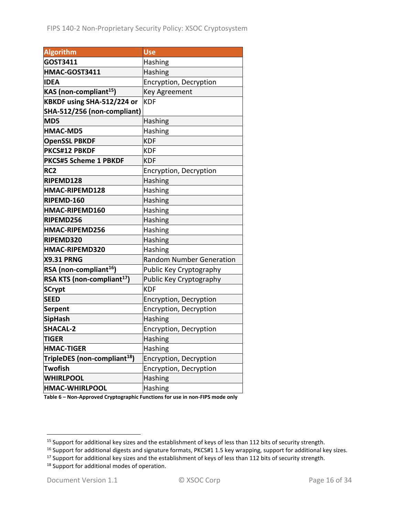| <b>Algorithm</b>                         | <b>Use</b>                      |
|------------------------------------------|---------------------------------|
| GOST3411                                 | Hashing                         |
| HMAC-GOST3411                            | <b>Hashing</b>                  |
| <b>IDEA</b>                              | Encryption, Decryption          |
| KAS (non-compliant <sup>15</sup> )       | Key Agreement                   |
| KBKDF using SHA-512/224 or               | <b>KDF</b>                      |
| SHA-512/256 (non-compliant)              |                                 |
| MD5                                      | Hashing                         |
| <b>HMAC-MD5</b>                          | <b>Hashing</b>                  |
| <b>OpenSSL PBKDF</b>                     | <b>KDF</b>                      |
| PKCS#12 PBKDF                            | KDF                             |
| <b>PKCS#5 Scheme 1 PBKDF</b>             | KDF                             |
| RC <sub>2</sub>                          | Encryption, Decryption          |
| RIPEMD128                                | Hashing                         |
| HMAC-RIPEMD128                           | <b>Hashing</b>                  |
| RIPEMD-160                               | Hashing                         |
| HMAC-RIPEMD160                           | Hashing                         |
| RIPEMD256                                | Hashing                         |
| HMAC-RIPEMD256                           | Hashing                         |
| RIPEMD320                                | Hashing                         |
| HMAC-RIPEMD320                           | Hashing                         |
| <b>X9.31 PRNG</b>                        | <b>Random Number Generation</b> |
| RSA (non-compliant <sup>16</sup> )       | Public Key Cryptography         |
| RSA KTS (non-compliant <sup>17</sup> )   | Public Key Cryptography         |
| <b>SCrypt</b>                            | <b>KDF</b>                      |
| <b>SEED</b>                              | Encryption, Decryption          |
| Serpent                                  | Encryption, Decryption          |
| <b>SipHash</b>                           | Hashing                         |
| <b>SHACAL-2</b>                          | Encryption, Decryption          |
| <b>TIGER</b>                             | Hashing                         |
| <b>HMAC-TIGER</b>                        | Hashing                         |
| TripleDES (non-compliant <sup>18</sup> ) | Encryption, Decryption          |
| <b>Twofish</b>                           | Encryption, Decryption          |
| <b>WHIRLPOOL</b>                         | Hashing                         |
| <b>HMAC-WHIRLPOOL</b>                    | Hashing                         |

**Table 6 – Non-Approved Cryptographic Functions for use in non-FIPS mode only**

<sup>&</sup>lt;sup>15</sup> Support for additional key sizes and the establishment of keys of less than 112 bits of security strength.

<sup>16</sup> Support for additional digests and signature formats, PKCS#1 1.5 key wrapping, support for additional key sizes.

<sup>&</sup>lt;sup>17</sup> Support for additional key sizes and the establishment of keys of less than 112 bits of security strength.

<sup>&</sup>lt;sup>18</sup> Support for additional modes of operation.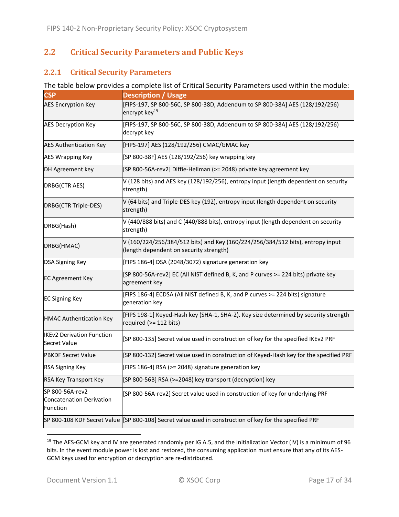## <span id="page-16-0"></span>**2.2 Critical Security Parameters and Public Keys**

#### <span id="page-16-1"></span>**2.2.1 Critical Security Parameters**

#### The table below provides a complete list of Critical Security Parameters used within the module:

| <b>CSP</b>                                                     | <b>Description / Usage</b>                                                                                                |
|----------------------------------------------------------------|---------------------------------------------------------------------------------------------------------------------------|
| <b>AES Encryption Key</b>                                      | [FIPS-197, SP 800-56C, SP 800-38D, Addendum to SP 800-38A] AES (128/192/256)<br>encrypt key <sup>19</sup>                 |
| <b>AES Decryption Key</b>                                      | [FIPS-197, SP 800-56C, SP 800-38D, Addendum to SP 800-38A] AES (128/192/256)<br>decrypt key                               |
| <b>AES Authentication Key</b>                                  | [FIPS-197] AES (128/192/256) CMAC/GMAC key                                                                                |
| <b>AES Wrapping Key</b>                                        | [SP 800-38F] AES (128/192/256) key wrapping key                                                                           |
| DH Agreement key                                               | [SP 800-56A-rev2] Diffie-Hellman (>= 2048) private key agreement key                                                      |
| DRBG(CTR AES)                                                  | V (128 bits) and AES key (128/192/256), entropy input (length dependent on security<br>strength)                          |
| DRBG(CTR Triple-DES)                                           | V (64 bits) and Triple-DES key (192), entropy input (length dependent on security<br>strength)                            |
| DRBG(Hash)                                                     | V (440/888 bits) and C (440/888 bits), entropy input (length dependent on security<br>strength)                           |
| DRBG(HMAC)                                                     | V (160/224/256/384/512 bits) and Key (160/224/256/384/512 bits), entropy input<br>(length dependent on security strength) |
| DSA Signing Key                                                | [FIPS 186-4] DSA (2048/3072) signature generation key                                                                     |
| <b>EC Agreement Key</b>                                        | [SP 800-56A-rev2] EC (All NIST defined B, K, and P curves >= 224 bits) private key<br>agreement key                       |
| <b>EC Signing Key</b>                                          | [FIPS 186-4] ECDSA (All NIST defined B, K, and P curves >= 224 bits) signature<br>generation key                          |
| <b>HMAC Authentication Key</b>                                 | [FIPS 198-1] Keyed-Hash key (SHA-1, SHA-2). Key size determined by security strength<br>required (>= 112 bits)            |
| <b>IKEv2 Derivation Function</b><br><b>Secret Value</b>        | [SP 800-135] Secret value used in construction of key for the specified IKEv2 PRF                                         |
| <b>PBKDF Secret Value</b>                                      | [SP 800-132] Secret value used in construction of Keyed-Hash key for the specified PRF                                    |
| <b>RSA Signing Key</b>                                         | [FIPS 186-4] RSA (>= 2048) signature generation key                                                                       |
| RSA Key Transport Key                                          | [SP 800-56B] RSA (>=2048) key transport (decryption) key                                                                  |
| SP 800-56A-rev2<br><b>Concatenation Derivation</b><br>Function | [SP 800-56A-rev2] Secret value used in construction of key for underlying PRF                                             |
|                                                                | SP 800-108 KDF Secret Value [SP 800-108] Secret value used in construction of key for the specified PRF                   |

<sup>&</sup>lt;sup>19</sup> The AES-GCM key and IV are generated randomly per IG A.5, and the Initialization Vector (IV) is a minimum of 96 bits. In the event module power is lost and restored, the consuming application must ensure that any of its AES-GCM keys used for encryption or decryption are re-distributed.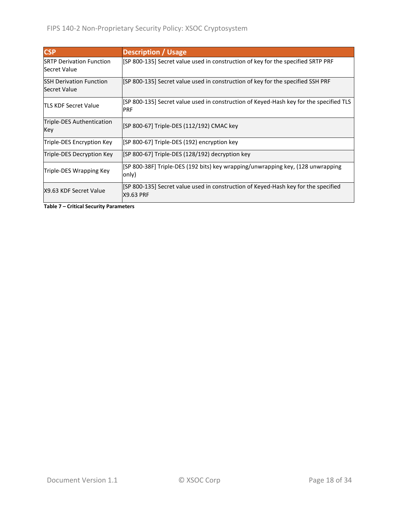| <b>CSP</b>                                       | <b>Description / Usage</b>                                                                            |
|--------------------------------------------------|-------------------------------------------------------------------------------------------------------|
| <b>ISRTP Derivation Function</b><br>Secret Value | [SP 800-135] Secret value used in construction of key for the specified SRTP PRF                      |
| <b>ISSH Derivation Function</b><br>Secret Value  | [SP 800-135] Secret value used in construction of key for the specified SSH PRF                       |
| <b>TLS KDF Secret Value</b>                      | [SP 800-135] Secret value used in construction of Keyed-Hash key for the specified TLS<br><b>PRF</b>  |
| Triple-DES Authentication<br>Key                 | [SP 800-67] Triple-DES (112/192) CMAC key                                                             |
| Triple-DES Encryption Key                        | [SP 800-67] Triple-DES (192) encryption key                                                           |
| Triple-DES Decryption Key                        | [SP 800-67] Triple-DES (128/192) decryption key                                                       |
| Triple-DES Wrapping Key                          | [SP 800-38F] Triple-DES (192 bits) key wrapping/unwrapping key, (128 unwrapping<br>only)              |
| X9.63 KDF Secret Value                           | SP 800-135] Secret value used in construction of Keyed-Hash key for the specified<br><b>X9.63 PRF</b> |

**Table 7 – Critical Security Parameters**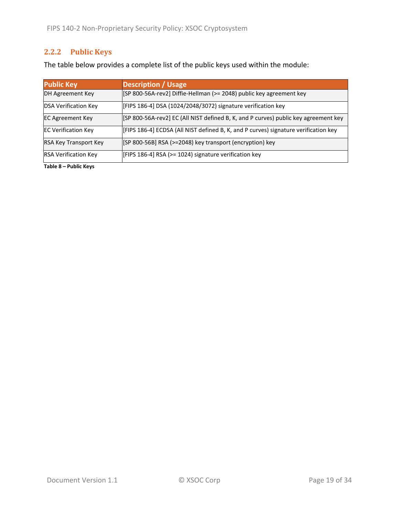## <span id="page-18-0"></span>**2.2.2 Public Keys**

The table below provides a complete list of the public keys used within the module:

| <b>Public Key</b>            | <b>Description / Usage</b>                                                          |
|------------------------------|-------------------------------------------------------------------------------------|
| DH Agreement Key             | [SP 800-56A-rev2] Diffie-Hellman (>= 2048) public key agreement key                 |
| <b>DSA Verification Key</b>  | [FIPS 186-4] DSA (1024/2048/3072) signature verification key                        |
| <b>EC Agreement Key</b>      | [SP 800-56A-rev2] EC (All NIST defined B, K, and P curves) public key agreement key |
| <b>EC Verification Key</b>   | [FIPS 186-4] ECDSA (All NIST defined B, K, and P curves) signature verification key |
| <b>RSA Key Transport Key</b> | [SP 800-56B] RSA (>=2048) key transport (encryption) key                            |
| <b>RSA Verification Key</b>  | [FIPS 186-4] RSA (>= 1024) signature verification key                               |

**Table 8 – Public Keys**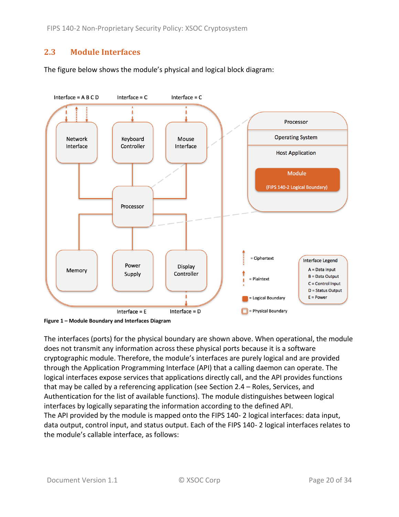## <span id="page-19-0"></span>**2.3 Module Interfaces**

The figure below shows the module's physical and logical block diagram:



<span id="page-19-1"></span>**Figure 1 – Module Boundary and Interfaces Diagram**

The interfaces (ports) for the physical boundary are shown above. When operational, the module does not transmit any information across these physical ports because it is a software cryptographic module. Therefore, the module's interfaces are purely logical and are provided through the Application Programming Interface (API) that a calling daemon can operate. The logical interfaces expose services that applications directly call, and the API provides functions that may be called by a referencing application (see Section [2.4](#page-20-0) – [Roles, Services, and](#page-20-0)  [Authentication](#page-20-0) for the list of available functions). The module distinguishes between logical interfaces by logically separating the information according to the defined API. The API provided by the module is mapped onto the FIPS 140- 2 logical interfaces: data input, data output, control input, and status output. Each of the FIPS 140- 2 logical interfaces relates to the module's callable interface, as follows: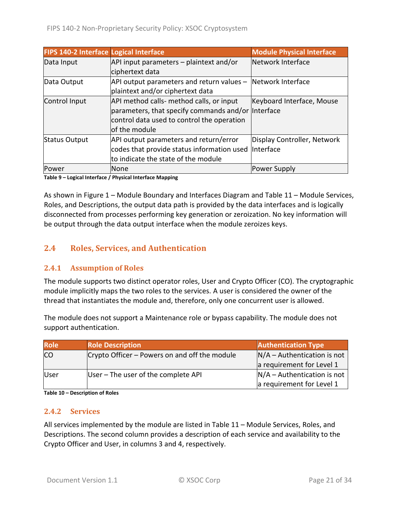| <b>FIPS 140-2 Interface Logical Interface</b> |                                                             | <b>Module Physical Interface</b> |
|-----------------------------------------------|-------------------------------------------------------------|----------------------------------|
| Data Input                                    | API input parameters - plaintext and/or                     | Network Interface                |
|                                               | ciphertext data                                             |                                  |
| Data Output                                   | API output parameters and return values – Network Interface |                                  |
|                                               | plaintext and/or ciphertext data                            |                                  |
| Control Input                                 | API method calls- method calls, or input                    | Keyboard Interface, Mouse        |
|                                               | parameters, that specify commands and/or  Interface         |                                  |
|                                               | control data used to control the operation                  |                                  |
|                                               | of the module                                               |                                  |
| <b>Status Output</b>                          | API output parameters and return/error                      | Display Controller, Network      |
|                                               | codes that provide status information used  Interface       |                                  |
|                                               | to indicate the state of the module                         |                                  |
| Power                                         | None                                                        | Power Supply                     |

**Table 9 – Logical Interface / Physical Interface Mapping**

As shown in Figure 1 – [Module Boundary and Interfaces Diagram](#page-19-1) and Table 11 – Module [Services,](#page-22-0)  Roles, [and Descriptions,](#page-22-0) the output data path is provided by the data interfaces and is logically disconnected from processes performing key generation or zeroization. No key information will be output through the data output interface when the module zeroizes keys.

## <span id="page-20-0"></span>**2.4 Roles, Services, and Authentication**

#### <span id="page-20-1"></span>**2.4.1 Assumption of Roles**

The module supports two distinct operator roles, User and Crypto Officer (CO). The cryptographic module implicitly maps the two roles to the services. A user is considered the owner of the thread that instantiates the module and, therefore, only one concurrent user is allowed.

The module does not support a Maintenance role or bypass capability. The module does not support authentication.

| <b>Role</b> | <b>Role Description</b>                       | <b>Authentication Type</b>    |
|-------------|-----------------------------------------------|-------------------------------|
| <b>CO</b>   | Crypto Officer – Powers on and off the module | $N/A -$ Authentication is not |
|             |                                               | a requirement for Level 1     |
| lUser       | User - The user of the complete API           | $N/A -$ Authentication is not |
|             |                                               | a requirement for Level 1     |

<span id="page-20-2"></span>**Table 10 – Description of Roles**

#### **2.4.2 Services**

All services implemented by the module are listed in Table 11 – Module [Services, Roles,](#page-22-0) and [Descriptions.](#page-22-0) The second column provides a description of each service and availability to the Crypto Officer and User, in columns 3 and 4, respectively.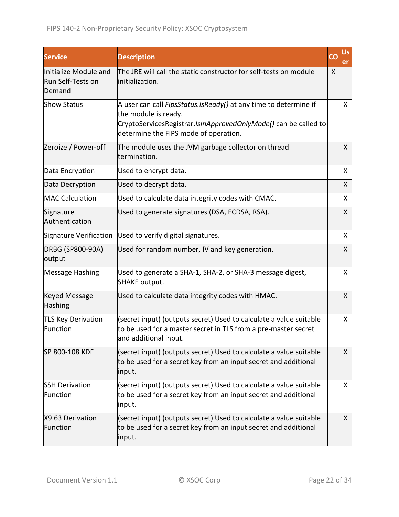| <b>Service</b>                                       | <b>Description</b>                                                                                                                                                                                   | CO | <b>Us</b><br>er |
|------------------------------------------------------|------------------------------------------------------------------------------------------------------------------------------------------------------------------------------------------------------|----|-----------------|
| Initialize Module and<br>Run Self-Tests on<br>Demand | The JRE will call the static constructor for self-tests on module<br>initialization.                                                                                                                 | X  |                 |
| <b>Show Status</b>                                   | A user can call FipsStatus.IsReady() at any time to determine if<br>the module is ready.<br>CryptoServicesRegistrar.IsInApprovedOnlyMode() can be called to<br>determine the FIPS mode of operation. |    | X               |
| Zeroize / Power-off                                  | The module uses the JVM garbage collector on thread<br>termination.                                                                                                                                  |    | $\mathsf{X}$    |
| Data Encryption                                      | Used to encrypt data.                                                                                                                                                                                |    | X               |
| Data Decryption                                      | Used to decrypt data.                                                                                                                                                                                |    | X               |
| <b>MAC Calculation</b>                               | Used to calculate data integrity codes with CMAC.                                                                                                                                                    |    | X               |
| Signature<br>Authentication                          | Used to generate signatures (DSA, ECDSA, RSA).                                                                                                                                                       |    | X               |
| Signature Verification                               | Used to verify digital signatures.                                                                                                                                                                   |    | $\mathsf{X}$    |
| DRBG (SP800-90A)<br>output                           | Used for random number, IV and key generation.                                                                                                                                                       |    | X               |
| Message Hashing                                      | Used to generate a SHA-1, SHA-2, or SHA-3 message digest,<br><b>SHAKE output.</b>                                                                                                                    |    | X               |
| <b>Keyed Message</b><br>Hashing                      | Used to calculate data integrity codes with HMAC.                                                                                                                                                    |    | X               |
| <b>TLS Key Derivation</b><br>Function                | (secret input) (outputs secret) Used to calculate a value suitable<br>to be used for a master secret in TLS from a pre-master secret<br>and additional input.                                        |    | X               |
| SP 800-108 KDF                                       | (secret input) (outputs secret) Used to calculate a value suitable<br>to be used for a secret key from an input secret and additional<br>input.                                                      |    | $\mathsf{X}$    |
| <b>SSH Derivation</b><br>Function                    | (secret input) (outputs secret) Used to calculate a value suitable<br>to be used for a secret key from an input secret and additional<br>input.                                                      |    | $\mathsf{X}$    |
| X9.63 Derivation<br>Function                         | (secret input) (outputs secret) Used to calculate a value suitable<br>to be used for a secret key from an input secret and additional<br>input.                                                      |    | X               |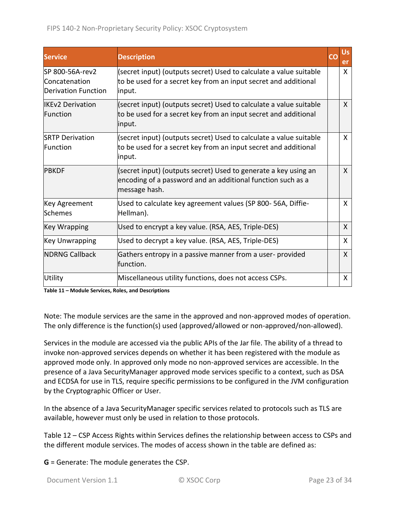| <b>Service</b>                                                 | <b>Description</b>                                                                                                                              | CO | <b>Us</b><br>er |
|----------------------------------------------------------------|-------------------------------------------------------------------------------------------------------------------------------------------------|----|-----------------|
| SP 800-56A-rev2<br>Concatenation<br><b>Derivation Function</b> | (secret input) (outputs secret) Used to calculate a value suitable<br>to be used for a secret key from an input secret and additional<br>input. |    | X               |
| <b>IIKEv2 Derivation</b><br>Function                           | (secret input) (outputs secret) Used to calculate a value suitable<br>to be used for a secret key from an input secret and additional<br>input. |    | X               |
| <b>SRTP Derivation</b><br>Function                             | (secret input) (outputs secret) Used to calculate a value suitable<br>to be used for a secret key from an input secret and additional<br>input. |    | X               |
| <b>PBKDF</b>                                                   | (secret input) (outputs secret) Used to generate a key using an<br>encoding of a password and an additional function such as a<br>message hash. |    | X               |
| Key Agreement<br>Schemes                                       | Used to calculate key agreement values (SP 800-56A, Diffie-<br>Hellman).                                                                        |    | X               |
| Key Wrapping                                                   | Used to encrypt a key value. (RSA, AES, Triple-DES)                                                                                             |    | X               |
| <b>Key Unwrapping</b>                                          | Used to decrypt a key value. (RSA, AES, Triple-DES)                                                                                             |    | X               |
| <b>NDRNG Callback</b>                                          | Gathers entropy in a passive manner from a user-provided<br>lfunction.                                                                          |    | X               |
| Utility                                                        | Miscellaneous utility functions, does not access CSPs.                                                                                          |    | X               |

<span id="page-22-0"></span>**Table 11 – Module Services, Roles, and Descriptions**

Note: The module services are the same in the approved and non-approved modes of operation. The only difference is the function(s) used (approved/allowed or non-approved/non-allowed).

Services in the module are accessed via the public APIs of the Jar file. The ability of a thread to invoke non-approved services depends on whether it has been registered with the module as approved mode only. In approved only mode no non-approved services are accessible. In the presence of a Java SecurityManager approved mode services specific to a context, such as DSA and ECDSA for use in TLS, require specific permissions to be configured in the JVM configuration by the Cryptographic Officer or User.

In the absence of a Java SecurityManager specific services related to protocols such as TLS are available, however must only be used in relation to those protocols.

Table 12 – [CSP Access Rights within Services](#page-24-0) defines the relationship between access to CSPs and the different module services. The modes of access shown in the table are defined as:

**G** = Generate: The module generates the CSP.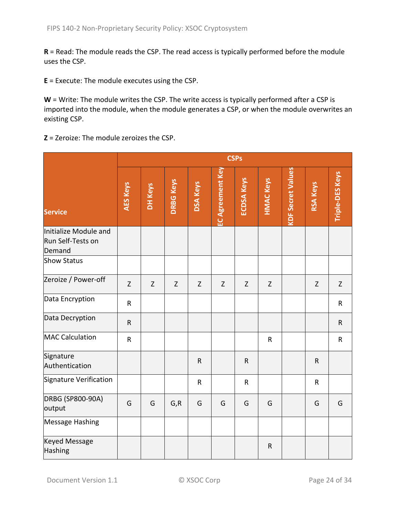**R** = Read: The module reads the CSP. The read access is typically performed before the module uses the CSP.

**E** = Execute: The module executes using the CSP.

W = Write: The module writes the CSP. The write access is typically performed after a CSP is imported into the module, when the module generates a CSP, or when the module overwrites an existing CSP.

**Z** = Zeroize: The module zeroizes the CSP.

|                                                      |                 | <b>CSPs</b> |                  |                 |                         |                   |                  |                          |                 |                        |
|------------------------------------------------------|-----------------|-------------|------------------|-----------------|-------------------------|-------------------|------------------|--------------------------|-----------------|------------------------|
| <b>Service</b>                                       | <b>AES Keys</b> | DH Keys     | <b>DRBG Keys</b> | <b>DSA Keys</b> | <b>EC Agreement Key</b> | <b>ECDSA Keys</b> | <b>HMAC Keys</b> | <b>KDF Secret Values</b> | <b>RSA Keys</b> | <b>Triple-DES Keys</b> |
| Initialize Module and<br>Run Self-Tests on<br>Demand |                 |             |                  |                 |                         |                   |                  |                          |                 |                        |
| <b>Show Status</b>                                   |                 |             |                  |                 |                         |                   |                  |                          |                 |                        |
| Zeroize / Power-off                                  | $\mathsf Z$     | Z           | Z                | $\mathsf Z$     | $\mathsf Z$             | $\mathsf Z$       | Z                |                          | $\mathsf Z$     | Z                      |
| Data Encryption                                      | $\sf R$         |             |                  |                 |                         |                   |                  |                          |                 | $\mathsf R$            |
| Data Decryption                                      | $\mathsf{R}$    |             |                  |                 |                         |                   |                  |                          |                 | $\mathsf{R}$           |
| MAC Calculation                                      | ${\sf R}$       |             |                  |                 |                         |                   | ${\sf R}$        |                          |                 | $\mathsf R$            |
| Signature<br>Authentication                          |                 |             |                  | ${\sf R}$       |                         | $\mathsf{R}$      |                  |                          | $\mathsf{R}$    |                        |
| Signature Verification                               |                 |             |                  | $\mathsf{R}$    |                         | $\mathsf R$       |                  |                          | $\mathsf{R}$    |                        |
| <b>DRBG (SP800-90A)</b><br>output                    | G               | G           | G, R             | G               | G                       | G                 | G                |                          | G               | G                      |
| <b>Message Hashing</b>                               |                 |             |                  |                 |                         |                   |                  |                          |                 |                        |
| <b>Keyed Message</b><br>Hashing                      |                 |             |                  |                 |                         |                   | $\mathsf R$      |                          |                 |                        |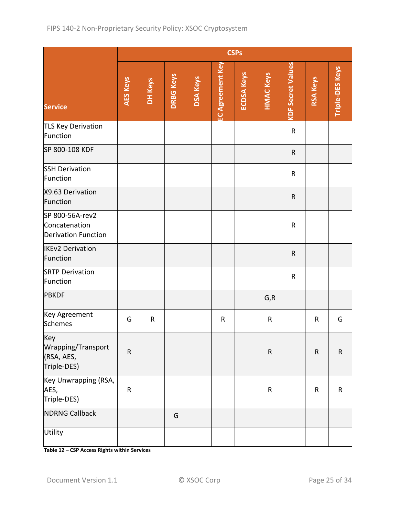|                                                                |           |           |                  |                 |                         | <b>CSPs</b>       |                  |                          |                 |                        |
|----------------------------------------------------------------|-----------|-----------|------------------|-----------------|-------------------------|-------------------|------------------|--------------------------|-----------------|------------------------|
| <b>Service</b>                                                 | AES Keys  | DH Keys   | <b>DRBG Keys</b> | <b>DSA Keys</b> | <b>EC Agreement Key</b> | <b>ECDSA Keys</b> | <b>HMAC Keys</b> | <b>KDF Secret Values</b> | <b>RSA Keys</b> | <b>Triple-DES Keys</b> |
| TLS Key Derivation<br>Function                                 |           |           |                  |                 |                         |                   |                  | $\mathsf R$              |                 |                        |
| SP 800-108 KDF                                                 |           |           |                  |                 |                         |                   |                  | ${\sf R}$                |                 |                        |
| <b>SSH Derivation</b><br>Function                              |           |           |                  |                 |                         |                   |                  | $\mathsf R$              |                 |                        |
| X9.63 Derivation<br>Function                                   |           |           |                  |                 |                         |                   |                  | ${\sf R}$                |                 |                        |
| SP 800-56A-rev2<br>Concatenation<br><b>Derivation Function</b> |           |           |                  |                 |                         |                   |                  | ${\sf R}$                |                 |                        |
| <b>IKEv2 Derivation</b><br>Function                            |           |           |                  |                 |                         |                   |                  | ${\sf R}$                |                 |                        |
| <b>SRTP Derivation</b><br>Function                             |           |           |                  |                 |                         |                   |                  | ${\sf R}$                |                 |                        |
| <b>PBKDF</b>                                                   |           |           |                  |                 |                         |                   | G, R             |                          |                 |                        |
| Key Agreement<br>Schemes                                       | G         | ${\sf R}$ |                  |                 | $\mathsf R$             |                   | $\mathsf R$      |                          | $\mathsf R$     | G                      |
| Key<br>Wrapping/Transport<br>(RSA, AES,<br>Triple-DES)         | ${\sf R}$ |           |                  |                 |                         |                   | ${\sf R}$        |                          | ${\sf R}$       | $\mathsf R$            |
| Key Unwrapping (RSA,<br>AES,<br>Triple-DES)                    | ${\sf R}$ |           |                  |                 |                         |                   | $\mathsf{R}$     |                          | ${\sf R}$       | $\mathsf R$            |
| <b>NDRNG Callback</b>                                          |           |           | G                |                 |                         |                   |                  |                          |                 |                        |
| Utility                                                        |           |           |                  |                 |                         |                   |                  |                          |                 |                        |

<span id="page-24-0"></span>**Table 12 – CSP Access Rights within Services**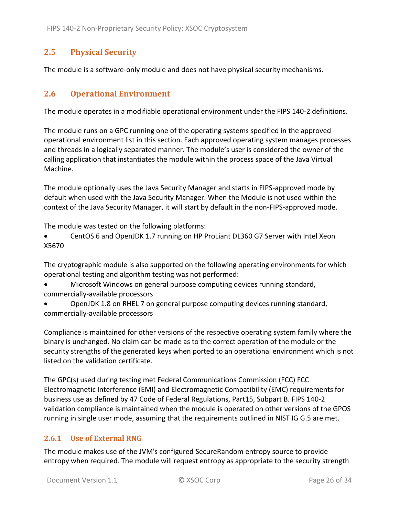## <span id="page-25-0"></span>**2.5 Physical Security**

<span id="page-25-1"></span>The module is a software-only module and does not have physical security mechanisms.

#### **2.6 Operational Environment**

The module operates in a modifiable operational environment under the FIPS 140-2 definitions.

The module runs on a GPC running one of the operating systems specified in the approved operational environment list in this section. Each approved operating system manages processes and threads in a logically separated manner. The module's user is considered the owner of the calling application that instantiates the module within the process space of the Java Virtual Machine.

The module optionally uses the Java Security Manager and starts in FIPS-approved mode by default when used with the Java Security Manager. When the Module is not used within the context of the Java Security Manager, it will start by default in the non-FIPS-approved mode.

The module was tested on the following platforms:

• CentOS 6 and OpenJDK 1.7 running on HP ProLiant DL360 G7 Server with Intel Xeon X5670

The cryptographic module is also supported on the following operating environments for which operational testing and algorithm testing was not performed:

- Microsoft Windows on general purpose computing devices running standard, commercially-available processors
- OpenJDK 1.8 on RHEL 7 on general purpose computing devices running standard, commercially-available processors

Compliance is maintained for other versions of the respective operating system family where the binary is unchanged. No claim can be made as to the correct operation of the module or the security strengths of the generated keys when ported to an operational environment which is not listed on the validation certificate.

The GPC(s) used during testing met Federal Communications Commission (FCC) FCC Electromagnetic Interference (EMI) and Electromagnetic Compatibility (EMC) requirements for business use as defined by 47 Code of Federal Regulations, Part15, Subpart B. FIPS 140-2 validation compliance is maintained when the module is operated on other versions of the GPOS running in single user mode, assuming that the requirements outlined in NIST IG G.5 are met.

#### <span id="page-25-2"></span>**2.6.1 Use of External RNG**

The module makes use of the JVM's configured SecureRandom entropy source to provide entropy when required. The module will request entropy as appropriate to the security strength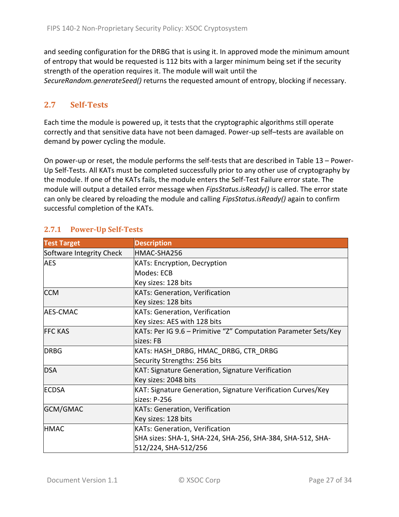and seeding configuration for the DRBG that is using it. In approved mode the minimum amount of entropy that would be requested is 112 bits with a larger minimum being set if the security strength of the operation requires it. The module will wait until the *SecureRandom.generateSeed()* returns the requested amount of entropy, blocking if necessary.

## <span id="page-26-0"></span>**2.7 Self-Tests**

Each time the module is powered up, it tests that the cryptographic algorithms still operate correctly and that sensitive data have not been damaged. Power-up self–tests are available on demand by power cycling the module.

On power-up or reset, the module performs the self-tests that are described in [Table 13](#page-27-1) – Power-Up [Self-Tests.](#page-27-1) All KATs must be completed successfully prior to any other use of cryptography by the module. If one of the KATs fails, the module enters the Self-Test Failure error state. The module will output a detailed error message when *FipsStatus.isReady()* is called. The error state can only be cleared by reloading the module and calling *FipsStatus.isReady()* again to confirm successful completion of the KATs.

| <b>Test Target</b>       | <b>Description</b>                                              |
|--------------------------|-----------------------------------------------------------------|
| Software Integrity Check | HMAC-SHA256                                                     |
| <b>AES</b>               | <b>KATs: Encryption, Decryption</b>                             |
|                          | Modes: ECB                                                      |
|                          | Key sizes: 128 bits                                             |
| <b>CCM</b>               | <b>KATs: Generation, Verification</b>                           |
|                          | Key sizes: 128 bits                                             |
| <b>AES-CMAC</b>          | KATs: Generation, Verification                                  |
|                          | Key sizes: AES with 128 bits                                    |
| <b>FFC KAS</b>           | KATs: Per IG 9.6 – Primitive "Z" Computation Parameter Sets/Key |
|                          | sizes: FB                                                       |
| <b>DRBG</b>              | KATs: HASH DRBG, HMAC DRBG, CTR DRBG                            |
|                          | Security Strengths: 256 bits                                    |
| <b>DSA</b>               | <b>KAT: Signature Generation, Signature Verification</b>        |
|                          | Key sizes: 2048 bits                                            |
| <b>ECDSA</b>             | KAT: Signature Generation, Signature Verification Curves/Key    |
|                          | sizes: P-256                                                    |
| GCM/GMAC                 | <b>KATs: Generation, Verification</b>                           |
|                          | Key sizes: 128 bits                                             |
| <b>HMAC</b>              | <b>KATs: Generation, Verification</b>                           |
|                          | SHA sizes: SHA-1, SHA-224, SHA-256, SHA-384, SHA-512, SHA-      |
|                          | 512/224, SHA-512/256                                            |

## <span id="page-26-1"></span>**2.7.1 Power-Up Self-Tests**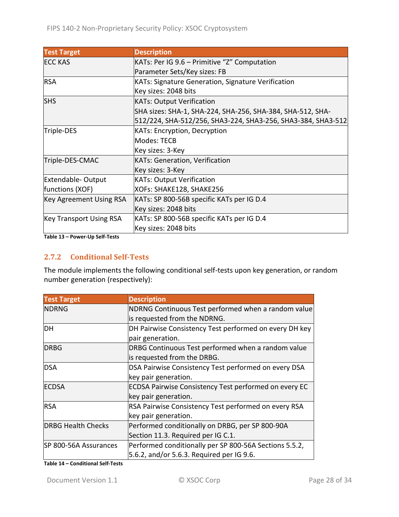| <b>Test Target</b>             | <b>Description</b>                                           |
|--------------------------------|--------------------------------------------------------------|
| <b>ECC KAS</b>                 | KATs: Per IG 9.6 - Primitive "Z" Computation                 |
|                                | Parameter Sets/Key sizes: FB                                 |
| <b>RSA</b>                     | KATs: Signature Generation, Signature Verification           |
|                                | Key sizes: 2048 bits                                         |
| <b>SHS</b>                     | <b>KATs: Output Verification</b>                             |
|                                | SHA sizes: SHA-1, SHA-224, SHA-256, SHA-384, SHA-512, SHA-   |
|                                | 512/224, SHA-512/256, SHA3-224, SHA3-256, SHA3-384, SHA3-512 |
| Triple-DES                     | <b>KATs: Encryption, Decryption</b>                          |
|                                | Modes: TECB                                                  |
|                                | Key sizes: 3-Key                                             |
| Triple-DES-CMAC                | KATs: Generation, Verification                               |
|                                | Key sizes: 3-Key                                             |
| <b>Extendable-Output</b>       | <b>KATs: Output Verification</b>                             |
| functions (XOF)                | XOFs: SHAKE128, SHAKE256                                     |
| Key Agreement Using RSA        | KATs: SP 800-56B specific KATs per IG D.4                    |
|                                | Key sizes: 2048 bits                                         |
| <b>Key Transport Using RSA</b> | KATs: SP 800-56B specific KATs per IG D.4                    |
|                                | Key sizes: 2048 bits                                         |

<span id="page-27-1"></span><span id="page-27-0"></span>**Table 13 – Power-Up Self-Tests**

#### **2.7.2 Conditional Self-Tests**

The module implements the following conditional self-tests upon key generation, or random number generation (respectively):

| <b>Test Target</b>        | <b>Description</b>                                           |
|---------------------------|--------------------------------------------------------------|
| NDRNG                     | NDRNG Continuous Test performed when a random value          |
|                           | is requested from the NDRNG.                                 |
| DH                        | DH Pairwise Consistency Test performed on every DH key       |
|                           | pair generation.                                             |
| <b>DRBG</b>               | DRBG Continuous Test performed when a random value           |
|                           | is requested from the DRBG.                                  |
| <b>DSA</b>                | DSA Pairwise Consistency Test performed on every DSA         |
|                           | key pair generation.                                         |
| <b>ECDSA</b>              | <b>ECDSA Pairwise Consistency Test performed on every EC</b> |
|                           | key pair generation.                                         |
| <b>RSA</b>                | RSA Pairwise Consistency Test performed on every RSA         |
|                           | key pair generation.                                         |
| <b>DRBG Health Checks</b> | Performed conditionally on DRBG, per SP 800-90A              |
|                           | Section 11.3. Required per IG C.1.                           |
| SP 800-56A Assurances     | Performed conditionally per SP 800-56A Sections 5.5.2,       |
|                           | 5.6.2, and/or 5.6.3. Required per IG 9.6.                    |

**Table 14 – Conditional Self-Tests**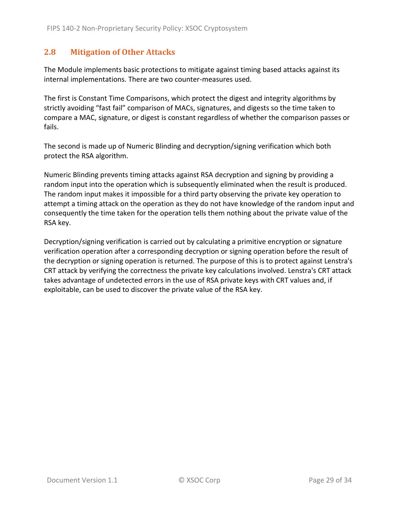### <span id="page-28-0"></span>**2.8 Mitigation of Other Attacks**

The Module implements basic protections to mitigate against timing based attacks against its internal implementations. There are two counter-measures used.

The first is Constant Time Comparisons, which protect the digest and integrity algorithms by strictly avoiding "fast fail" comparison of MACs, signatures, and digests so the time taken to compare a MAC, signature, or digest is constant regardless of whether the comparison passes or fails.

The second is made up of Numeric Blinding and decryption/signing verification which both protect the RSA algorithm.

Numeric Blinding prevents timing attacks against RSA decryption and signing by providing a random input into the operation which is subsequently eliminated when the result is produced. The random input makes it impossible for a third party observing the private key operation to attempt a timing attack on the operation as they do not have knowledge of the random input and consequently the time taken for the operation tells them nothing about the private value of the RSA key.

Decryption/signing verification is carried out by calculating a primitive encryption or signature verification operation after a corresponding decryption or signing operation before the result of the decryption or signing operation is returned. The purpose of this is to protect against Lenstra's CRT attack by verifying the correctness the private key calculations involved. Lenstra's CRT attack takes advantage of undetected errors in the use of RSA private keys with CRT values and, if exploitable, can be used to discover the private value of the RSA key.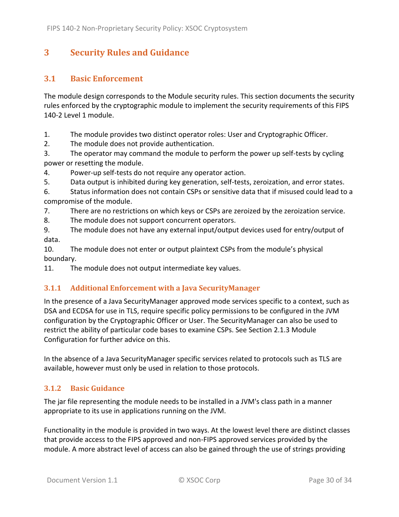## <span id="page-29-0"></span>**3 Security Rules and Guidance**

### <span id="page-29-1"></span>**3.1 Basic Enforcement**

The module design corresponds to the Module security rules. This section documents the security rules enforced by the cryptographic module to implement the security requirements of this FIPS 140-2 Level 1 module.

1. The module provides two distinct operator roles: User and Cryptographic Officer.

2. The module does not provide authentication.

3. The operator may command the module to perform the power up self-tests by cycling power or resetting the module.

4. Power-up self-tests do not require any operator action.

5. Data output is inhibited during key generation, self-tests, zeroization, and error states.

6. Status information does not contain CSPs or sensitive data that if misused could lead to a compromise of the module.

7. There are no restrictions on which keys or CSPs are zeroized by the zeroization service.

8. The module does not support concurrent operators.

9. The module does not have any external input/output devices used for entry/output of data.

10. The module does not enter or output plaintext CSPs from the module's physical boundary.

<span id="page-29-2"></span>11. The module does not output intermediate key values.

#### **3.1.1 Additional Enforcement with a Java SecurityManager**

In the presence of a Java SecurityManager approved mode services specific to a context, such as DSA and ECDSA for use in TLS, require specific policy permissions to be configured in the JVM configuration by the Cryptographic Officer or User. The SecurityManager can also be used to restrict the ability of particular code bases to examine CSPs. See Section [2.1.3](#page-6-0) Module Configuration for further advice on this.

In the absence of a Java SecurityManager specific services related to protocols such as TLS are available, however must only be used in relation to those protocols.

## <span id="page-29-3"></span>**3.1.2 Basic Guidance**

The jar file representing the module needs to be installed in a JVM's class path in a manner appropriate to its use in applications running on the JVM.

Functionality in the module is provided in two ways. At the lowest level there are distinct classes that provide access to the FIPS approved and non-FIPS approved services provided by the module. A more abstract level of access can also be gained through the use of strings providing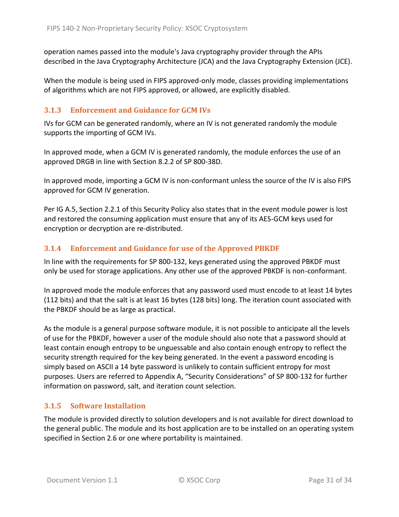operation names passed into the module's Java cryptography provider through the APIs described in the Java Cryptography Architecture (JCA) and the Java Cryptography Extension (JCE).

When the module is being used in FIPS approved-only mode, classes providing implementations of algorithms which are not FIPS approved, or allowed, are explicitly disabled.

#### <span id="page-30-0"></span>**3.1.3 Enforcement and Guidance for GCM IVs**

IVs for GCM can be generated randomly, where an IV is not generated randomly the module supports the importing of GCM IVs.

In approved mode, when a GCM IV is generated randomly, the module enforces the use of an approved DRGB in line with Section 8.2.2 of SP 800-38D.

In approved mode, importing a GCM IV is non-conformant unless the source of the IV is also FIPS approved for GCM IV generation.

Per IG A.5, Section [2.2.1](#page-16-1) of this Security Policy also states that in the event module power is lost and restored the consuming application must ensure that any of its AES-GCM keys used for encryption or decryption are re-distributed.

### <span id="page-30-1"></span>**3.1.4 Enforcement and Guidance for use of the Approved PBKDF**

In line with the requirements for SP 800-132, keys generated using the approved PBKDF must only be used for storage applications. Any other use of the approved PBKDF is non-conformant.

In approved mode the module enforces that any password used must encode to at least 14 bytes (112 bits) and that the salt is at least 16 bytes (128 bits) long. The iteration count associated with the PBKDF should be as large as practical.

As the module is a general purpose software module, it is not possible to anticipate all the levels of use for the PBKDF, however a user of the module should also note that a password should at least contain enough entropy to be unguessable and also contain enough entropy to reflect the security strength required for the key being generated. In the event a password encoding is simply based on ASCII a 14 byte password is unlikely to contain sufficient entropy for most purposes. Users are referred to Appendix A, "Security Considerations" of SP 800-132 for further information on password, salt, and iteration count selection.

#### <span id="page-30-2"></span>**3.1.5 Software Installation**

The module is provided directly to solution developers and is not available for direct download to the general public. The module and its host application are to be installed on an operating system specified in Section [2.6](#page-25-1) or one where portability is maintained.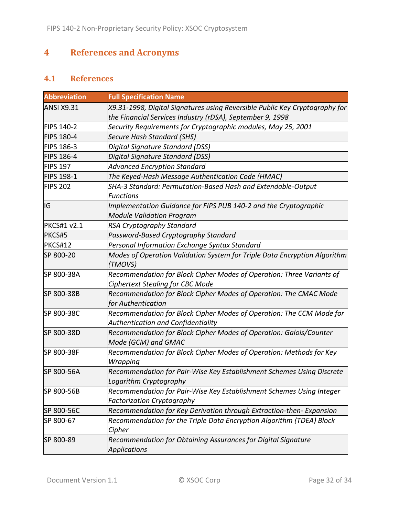# <span id="page-31-0"></span>**4 References and Acronyms**

## <span id="page-31-1"></span>**4.1 References**

| <b>Abbreviation</b> | <b>Full Specification Name</b>                                                                                                           |
|---------------------|------------------------------------------------------------------------------------------------------------------------------------------|
| <b>ANSI X9.31</b>   | X9.31-1998, Digital Signatures using Reversible Public Key Cryptography for<br>the Financial Services Industry (rDSA), September 9, 1998 |
| FIPS 140-2          | Security Requirements for Cryptographic modules, May 25, 2001                                                                            |
| <b>FIPS 180-4</b>   | Secure Hash Standard (SHS)                                                                                                               |
| FIPS 186-3          | Digital Signature Standard (DSS)                                                                                                         |
| <b>FIPS 186-4</b>   | Digital Signature Standard (DSS)                                                                                                         |
| <b>FIPS 197</b>     | <b>Advanced Encryption Standard</b>                                                                                                      |
| <b>FIPS 198-1</b>   | The Keyed-Hash Message Authentication Code (HMAC)                                                                                        |
| <b>FIPS 202</b>     | SHA-3 Standard: Permutation-Based Hash and Extendable-Output<br><b>Functions</b>                                                         |
| IG                  | Implementation Guidance for FIPS PUB 140-2 and the Cryptographic<br><b>Module Validation Program</b>                                     |
| <b>PKCS#1 v2.1</b>  | RSA Cryptography Standard                                                                                                                |
| PKCS#5              | Password-Based Cryptography Standard                                                                                                     |
| PKCS#12             | Personal Information Exchange Syntax Standard                                                                                            |
| SP 800-20           | Modes of Operation Validation System for Triple Data Encryption Algorithm<br>(TMOVS)                                                     |
| SP 800-38A          | Recommendation for Block Cipher Modes of Operation: Three Variants of<br>Ciphertext Stealing for CBC Mode                                |
| SP 800-38B          | Recommendation for Block Cipher Modes of Operation: The CMAC Mode<br>for Authentication                                                  |
| SP 800-38C          | Recommendation for Block Cipher Modes of Operation: The CCM Mode for<br>Authentication and Confidentiality                               |
| SP 800-38D          | Recommendation for Block Cipher Modes of Operation: Galois/Counter<br>Mode (GCM) and GMAC                                                |
| SP 800-38F          | Recommendation for Block Cipher Modes of Operation: Methods for Key<br>Wrapping                                                          |
| SP 800-56A          | Recommendation for Pair-Wise Key Establishment Schemes Using Discrete<br>Logarithm Cryptography                                          |
| SP 800-56B          | Recommendation for Pair-Wise Key Establishment Schemes Using Integer<br><b>Factorization Cryptography</b>                                |
| SP 800-56C          | Recommendation for Key Derivation through Extraction-then- Expansion                                                                     |
| SP 800-67           | Recommendation for the Triple Data Encryption Algorithm (TDEA) Block<br>Cipher                                                           |
| SP 800-89           | Recommendation for Obtaining Assurances for Digital Signature<br><b>Applications</b>                                                     |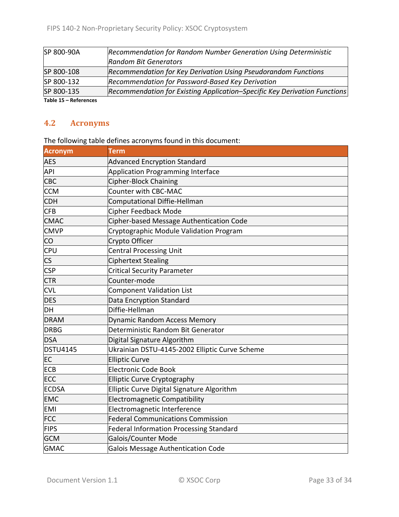| SP 800-90A         | Recommendation for Random Number Generation Using Deterministic           |
|--------------------|---------------------------------------------------------------------------|
|                    | <b>Random Bit Generators</b>                                              |
| SP 800-108         | Recommendation for Key Derivation Using Pseudorandom Functions            |
| SP 800-132         | Recommendation for Password-Based Key Derivation                          |
| SP 800-135         | Recommendation for Existing Application–Specific Key Derivation Functions |
| Toble 15 Defevered |                                                                           |

<span id="page-32-0"></span>**Table 15 – References**

### **4.2 Acronyms**

The following table defines acronyms found in this document:

| <b>Acronym</b>         | <b>Term</b>                                    |
|------------------------|------------------------------------------------|
| <b>AES</b>             | <b>Advanced Encryption Standard</b>            |
| <b>API</b>             | <b>Application Programming Interface</b>       |
| <b>CBC</b>             | Cipher-Block Chaining                          |
| <b>CCM</b>             | Counter with CBC-MAC                           |
| <b>CDH</b>             | Computational Diffie-Hellman                   |
| <b>CFB</b>             | <b>Cipher Feedback Mode</b>                    |
| <b>CMAC</b>            | Cipher-based Message Authentication Code       |
| <b>CMVP</b>            | Cryptographic Module Validation Program        |
| CO                     | Crypto Officer                                 |
| <b>CPU</b>             | <b>Central Processing Unit</b>                 |
| $\overline{\text{CS}}$ | <b>Ciphertext Stealing</b>                     |
| <b>CSP</b>             | <b>Critical Security Parameter</b>             |
| <b>CTR</b>             | Counter-mode                                   |
| <b>CVL</b>             | <b>Component Validation List</b>               |
| <b>DES</b>             | Data Encryption Standard                       |
| DH                     | Diffie-Hellman                                 |
| <b>DRAM</b>            | Dynamic Random Access Memory                   |
| <b>DRBG</b>            | Deterministic Random Bit Generator             |
| <b>DSA</b>             | Digital Signature Algorithm                    |
| <b>DSTU4145</b>        | Ukrainian DSTU-4145-2002 Elliptic Curve Scheme |
| EC                     | <b>Elliptic Curve</b>                          |
| <b>ECB</b>             | <b>Electronic Code Book</b>                    |
| <b>ECC</b>             | <b>Elliptic Curve Cryptography</b>             |
| <b>ECDSA</b>           | Elliptic Curve Digital Signature Algorithm     |
| <b>EMC</b>             | <b>Electromagnetic Compatibility</b>           |
| <b>EMI</b>             | Electromagnetic Interference                   |
| <b>FCC</b>             | <b>Federal Communications Commission</b>       |
| FIPS                   | <b>Federal Information Processing Standard</b> |
| <b>GCM</b>             | Galois/Counter Mode                            |
| <b>GMAC</b>            | Galois Message Authentication Code             |